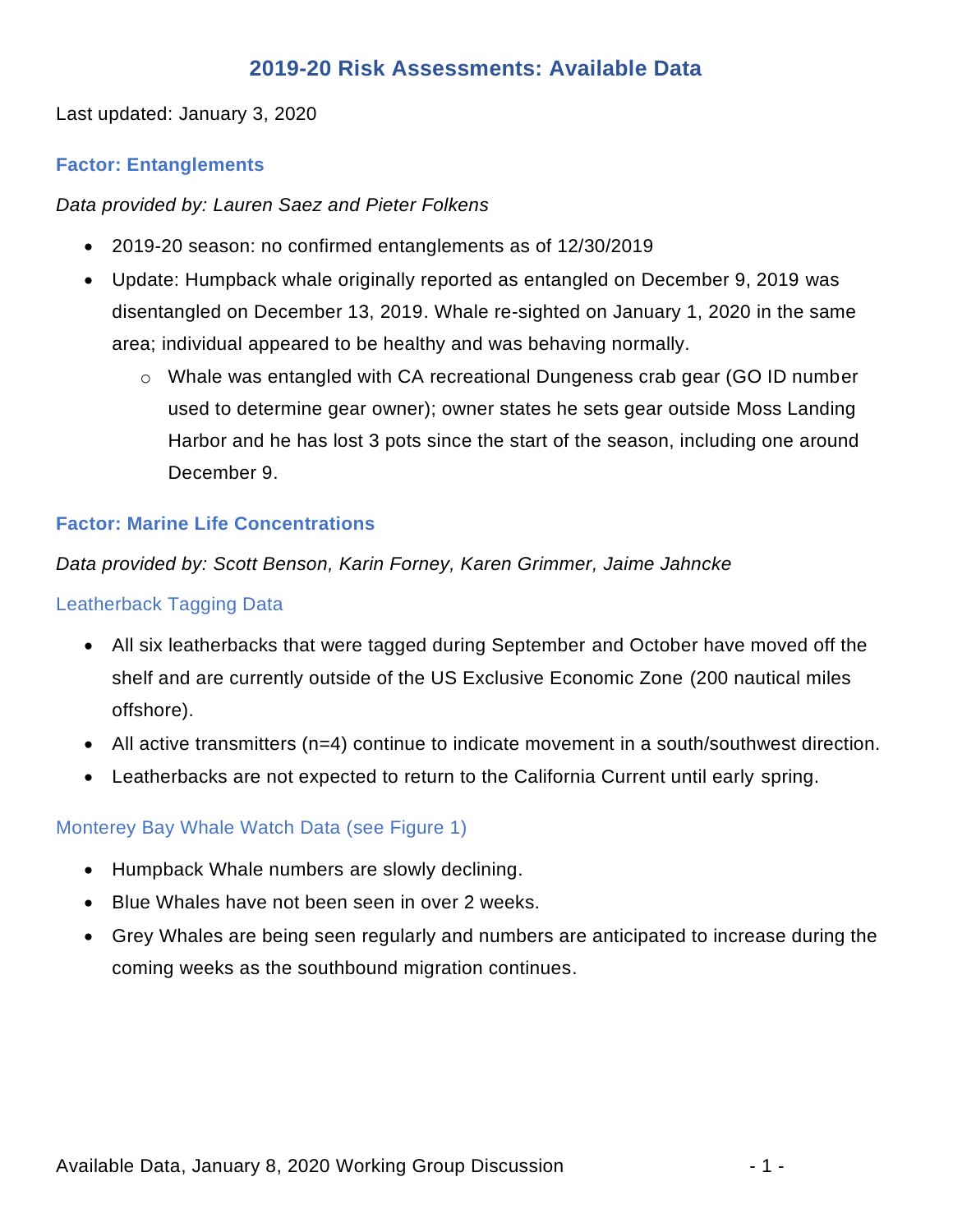# **2019-20 Risk Assessments: Available Data**

Last updated: January 3, 2020

# **Factor: Entanglements**

*Data provided by: Lauren Saez and Pieter Folkens*

- 2019-20 season: no confirmed entanglements as of 12/30/2019
- Update: Humpback whale originally reported as entangled on December 9, 2019 was disentangled on December 13, 2019. Whale re-sighted on January 1, 2020 in the same area; individual appeared to be healthy and was behaving normally.
	- o Whale was entangled with CA recreational Dungeness crab gear (GO ID number used to determine gear owner); owner states he sets gear outside Moss Landing Harbor and he has lost 3 pots since the start of the season, including one around December 9.

### **Factor: Marine Life Concentrations**

### *Data provided by: Scott Benson, Karin Forney, Karen Grimmer, Jaime Jahncke*

#### Leatherback Tagging Data

- All six leatherbacks that were tagged during September and October have moved off the shelf and are currently outside of the US Exclusive Economic Zone (200 nautical miles offshore).
- All active transmitters (n=4) continue to indicate movement in a south/southwest direction.
- Leatherbacks are not expected to return to the California Current until early spring.

#### Monterey Bay Whale Watch Data (see Figure 1)

- Humpback Whale numbers are slowly declining.
- Blue Whales have not been seen in over 2 weeks.
- Grey Whales are being seen regularly and numbers are anticipated to increase during the coming weeks as the southbound migration continues.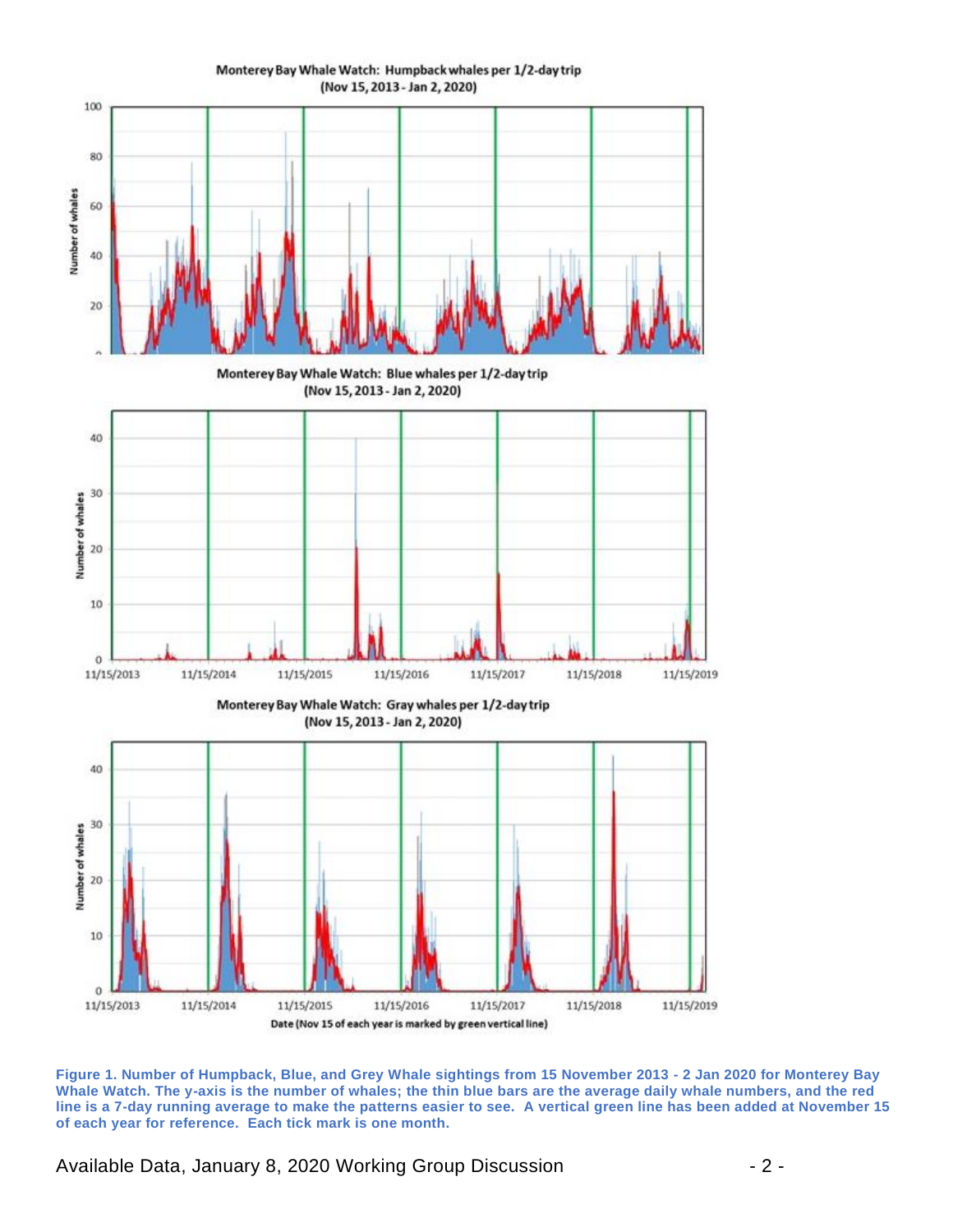

**Figure 1. Number of Humpback, Blue, and Grey Whale sightings from 15 November 2013 - 2 Jan 2020 for Monterey Bay Whale Watch. The y-axis is the number of whales; the thin blue bars are the average daily whale numbers, and the red line is a 7-day running average to make the patterns easier to see. A vertical green line has been added at November 15** 

Available Data, January 8, 2020 Working Group Discussion - 2 -

**of each year for reference. Each tick mark is one month.**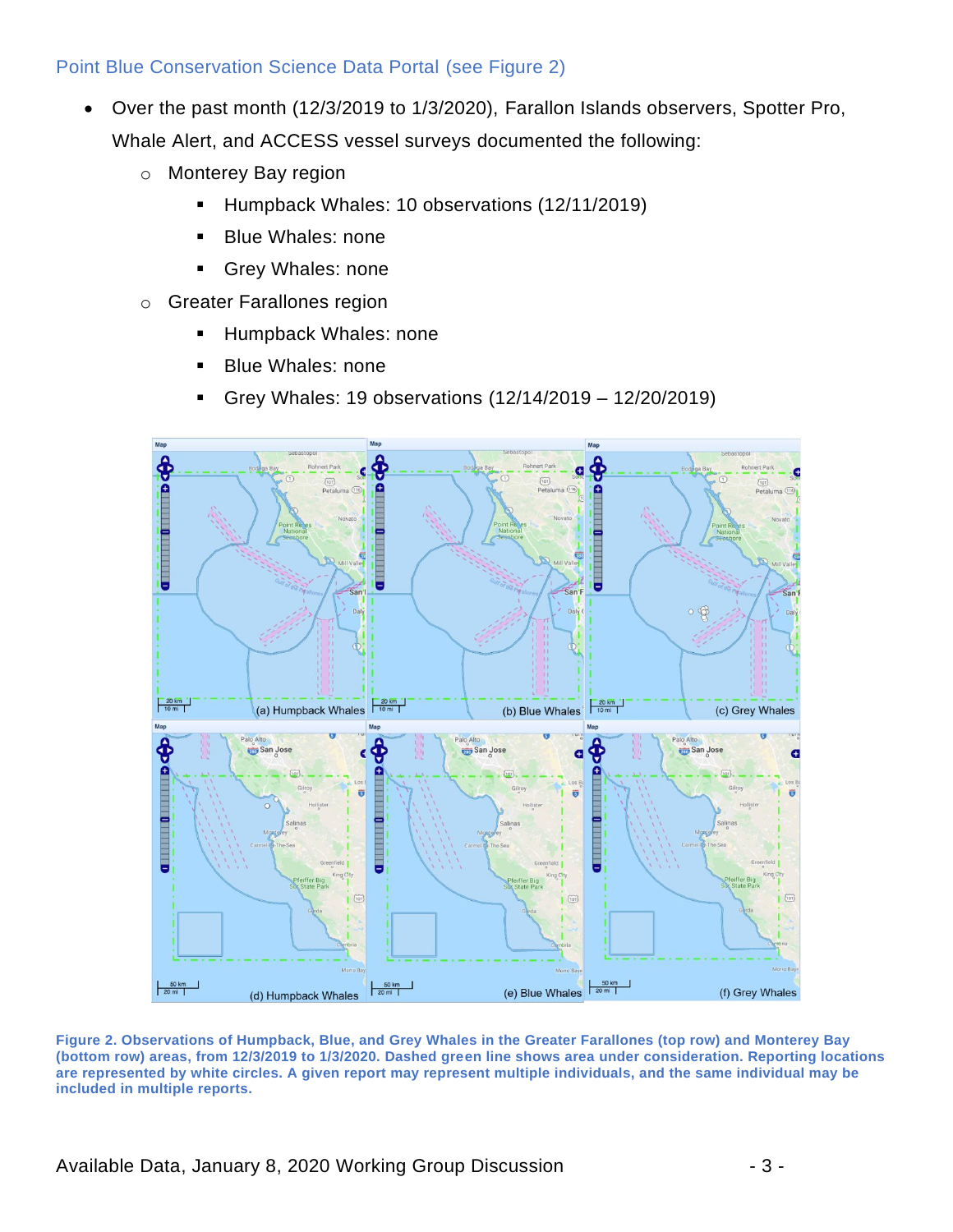# Point Blue Conservation Science Data Portal (see Figure 2)

- Over the past month (12/3/2019 to 1/3/2020), Farallon Islands observers, Spotter Pro, Whale Alert, and ACCESS vessel surveys documented the following:
	- o Monterey Bay region
		- Humpback Whales: 10 observations (12/11/2019)
		- Blue Whales: none
		- Grey Whales: none
	- o Greater Farallones region
		- **E** Humpback Whales: none
		- **Blue Whales: none**
		- Grey Whales: 19 observations (12/14/2019 12/20/2019)



**Figure 2. Observations of Humpback, Blue, and Grey Whales in the Greater Farallones (top row) and Monterey Bay (bottom row) areas, from 12/3/2019 to 1/3/2020. Dashed green line shows area under consideration. Reporting locations are represented by white circles. A given report may represent multiple individuals, and the same individual may be included in multiple reports.**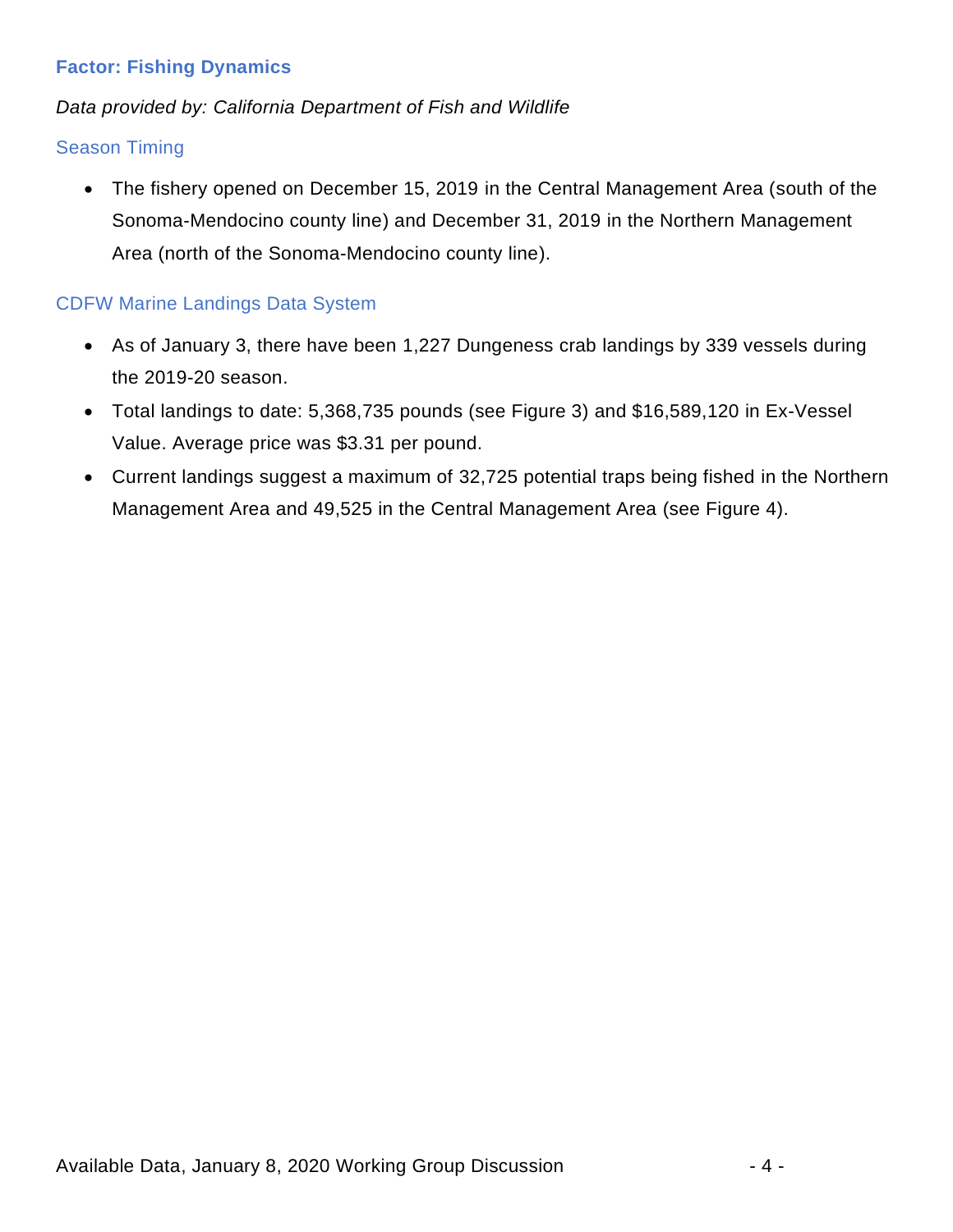# **Factor: Fishing Dynamics**

# *Data provided by: California Department of Fish and Wildlife*

# Season Timing

• The fishery opened on December 15, 2019 in the Central Management Area (south of the Sonoma-Mendocino county line) and December 31, 2019 in the Northern Management Area (north of the Sonoma-Mendocino county line).

# CDFW Marine Landings Data System

- As of January 3, there have been 1,227 Dungeness crab landings by 339 vessels during the 2019-20 season.
- Total landings to date: 5,368,735 pounds (see Figure 3) and \$16,589,120 in Ex-Vessel Value. Average price was \$3.31 per pound.
- Current landings suggest a maximum of 32,725 potential traps being fished in the Northern Management Area and 49,525 in the Central Management Area (see Figure 4).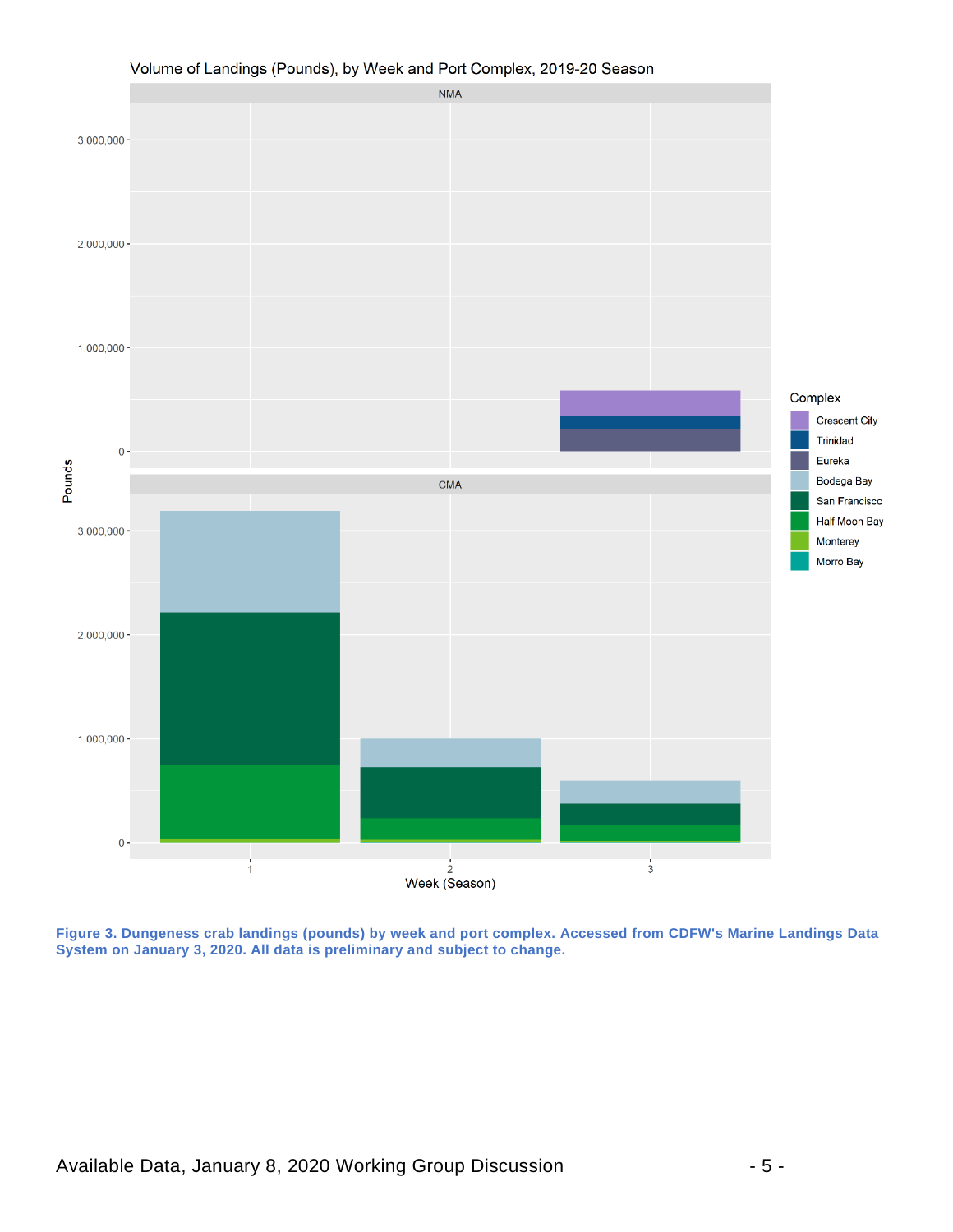

#### Volume of Landings (Pounds), by Week and Port Complex, 2019-20 Season

**Figure 3. Dungeness crab landings (pounds) by week and port complex. Accessed from CDFW's Marine Landings Data System on January 3, 2020. All data is preliminary and subject to change.**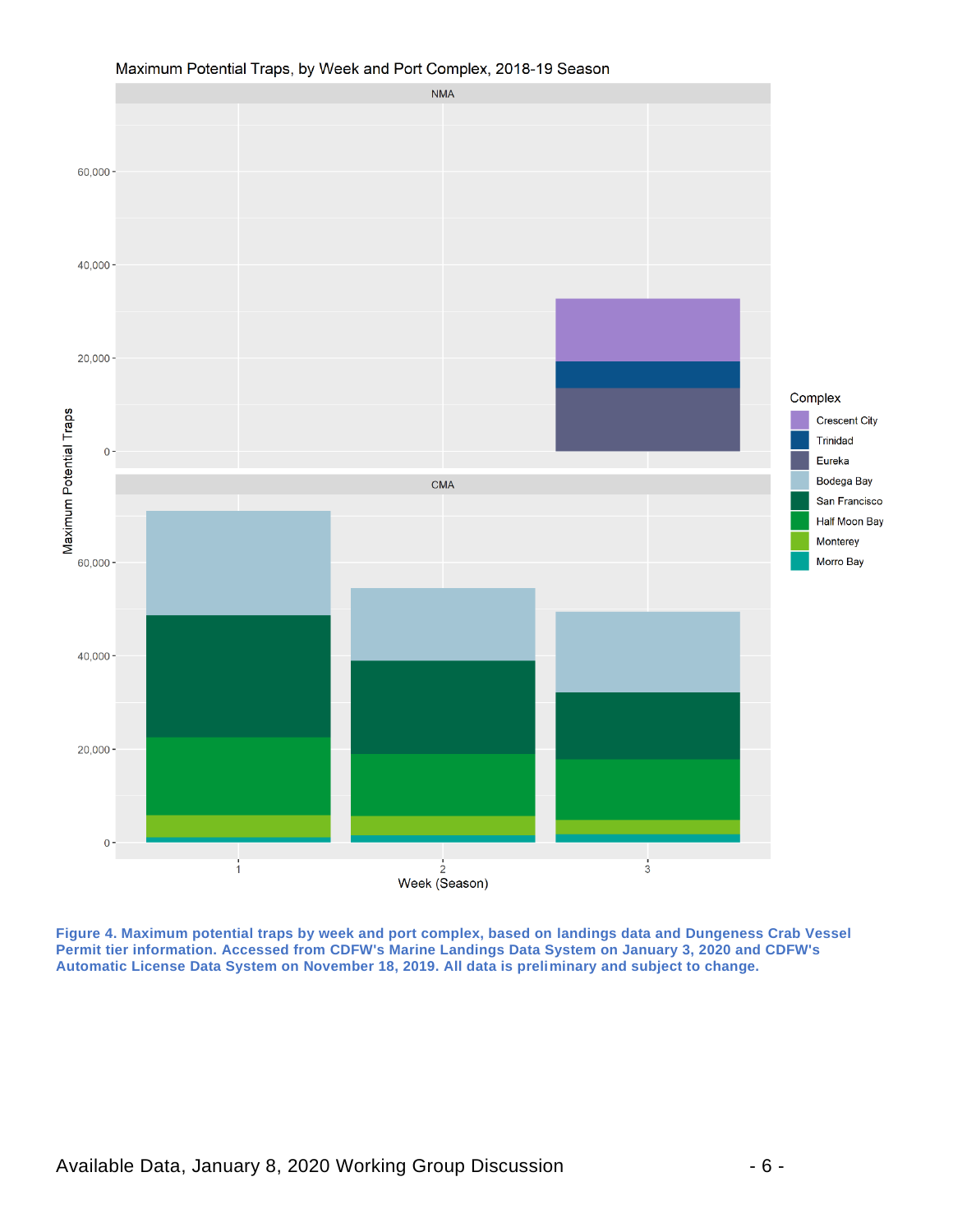

#### Maximum Potential Traps, by Week and Port Complex, 2018-19 Season

**Figure 4. Maximum potential traps by week and port complex, based on landings data and Dungeness Crab Vessel Permit tier information. Accessed from CDFW's Marine Landings Data System on January 3, 2020 and CDFW's Automatic License Data System on November 18, 2019. All data is preliminary and subject to change.**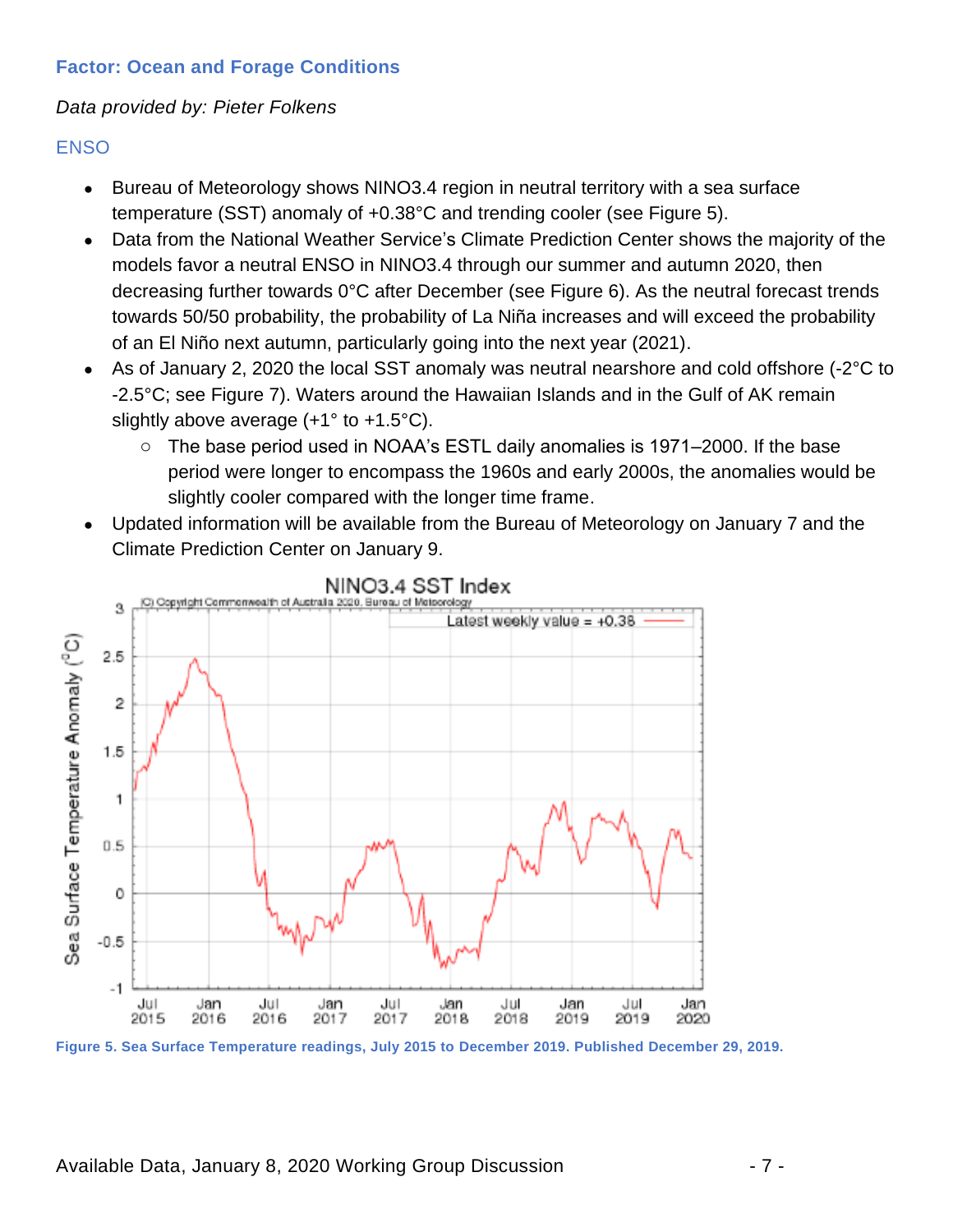# **Factor: Ocean and Forage Conditions**

### *Data provided by: Pieter Folkens*

#### **ENSO**

- Bureau of Meteorology shows NINO3.4 region in neutral territory with a sea surface temperature (SST) anomaly of +0.38°C and trending cooler (see Figure 5).
- Data from the National Weather Service's Climate Prediction Center shows the majority of the models favor a neutral ENSO in NINO3.4 through our summer and autumn 2020, then decreasing further towards 0°C after December (see Figure 6). As the neutral forecast trends towards 50/50 probability, the probability of La Niña increases and will exceed the probability of an El Niño next autumn, particularly going into the next year (2021).
- As of January 2, 2020 the local SST anomaly was neutral nearshore and cold offshore (-2°C to -2.5°C; see Figure 7). Waters around the Hawaiian Islands and in the Gulf of AK remain slightly above average (+1° to +1.5°C).
	- o The base period used in NOAA's ESTL daily anomalies is 1971–2000. If the base period were longer to encompass the 1960s and early 2000s, the anomalies would be slightly cooler compared with the longer time frame.
- Updated information will be available from the Bureau of Meteorology on January 7 and the Climate Prediction Center on January 9.



NINO3.4 SST Index

**Figure 5. Sea Surface Temperature readings, July 2015 to December 2019. Published December 29, 2019.**